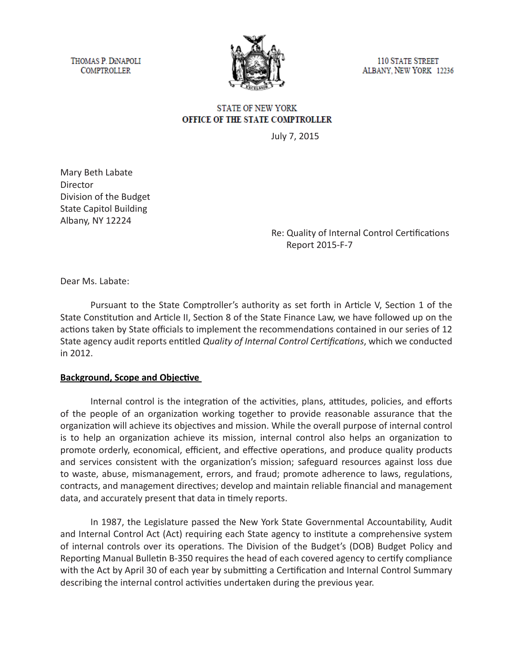THOMAS P. DINAPOLI **COMPTROLLER** 



**110 STATE STREET** ALBANY, NEW YORK 12236

# **STATE OF NEW YORK** OFFICE OF THE STATE COMPTROLLER

July 7, 2015

Mary Beth Labate Director Division of the Budget State Capitol Building Albany, NY 12224

Re: Quality of Internal Control Certifications Report 2015-F-7

Dear Ms. Labate:

Pursuant to the State Comptroller's authority as set forth in Article V, Section 1 of the State Constitution and Article II, Section 8 of the State Finance Law, we have followed up on the actions taken by State officials to implement the recommendations contained in our series of 12 State agency audit reports entitled *Quality of Internal Control Certifications*, which we conducted in 2012.

#### **Background, Scope and Objective**

Internal control is the integration of the activities, plans, attitudes, policies, and efforts of the people of an organization working together to provide reasonable assurance that the organization will achieve its objectives and mission. While the overall purpose of internal control is to help an organization achieve its mission, internal control also helps an organization to promote orderly, economical, efficient, and effective operations, and produce quality products and services consistent with the organization's mission; safeguard resources against loss due to waste, abuse, mismanagement, errors, and fraud; promote adherence to laws, regulations, contracts, and management directives; develop and maintain reliable financial and management data, and accurately present that data in timely reports.

In 1987, the Legislature passed the New York State Governmental Accountability, Audit and Internal Control Act (Act) requiring each State agency to institute a comprehensive system of internal controls over its operations. The Division of the Budget's (DOB) Budget Policy and Reporting Manual Bulletin B-350 requires the head of each covered agency to certify compliance with the Act by April 30 of each year by submitting a Certification and Internal Control Summary describing the internal control activities undertaken during the previous year.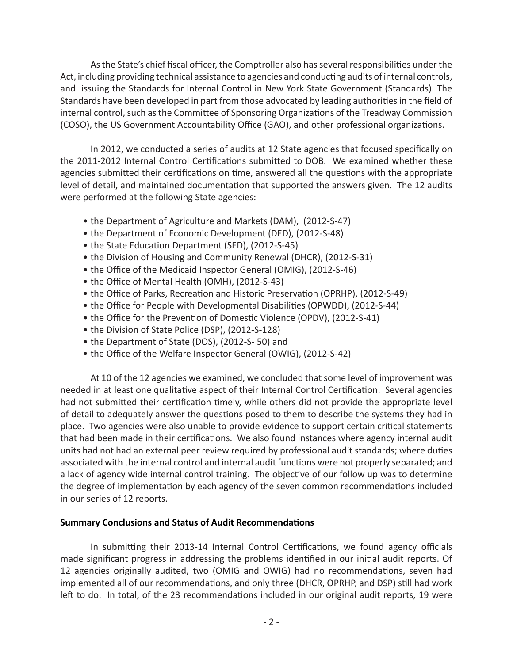As the State's chief fiscal officer, the Comptroller also has several responsibilities under the Act, including providing technical assistance to agencies and conducting audits of internal controls, and issuing the Standards for Internal Control in New York State Government (Standards). The Standards have been developed in part from those advocated by leading authorities in the field of internal control, such as the Committee of Sponsoring Organizations of the Treadway Commission (COSO), the US Government Accountability Office (GAO), and other professional organizations.

In 2012, we conducted a series of audits at 12 State agencies that focused specifically on the 2011-2012 Internal Control Certifications submitted to DOB. We examined whether these agencies submitted their certifications on time, answered all the questions with the appropriate level of detail, and maintained documentation that supported the answers given. The 12 audits were performed at the following State agencies:

- the Department of Agriculture and Markets (DAM), (2012-S-47)
- the Department of Economic Development (DED), (2012-S-48)
- the State Education Department (SED), (2012-S-45)
- the Division of Housing and Community Renewal (DHCR), (2012-S-31)
- the Office of the Medicaid Inspector General (OMIG), (2012-S-46)
- the Office of Mental Health (OMH), (2012-S-43)
- the Office of Parks, Recreation and Historic Preservation (OPRHP), (2012-S-49)
- the Office for People with Developmental Disabilities (OPWDD), (2012-S-44)
- the Office for the Prevention of Domestic Violence (OPDV), (2012-S-41)
- the Division of State Police (DSP), (2012-S-128)
- the Department of State (DOS), (2012-S- 50) and
- the Office of the Welfare Inspector General (OWIG), (2012-S-42)

At 10 of the 12 agencies we examined, we concluded that some level of improvement was needed in at least one qualitative aspect of their Internal Control Certification. Several agencies had not submitted their certification timely, while others did not provide the appropriate level of detail to adequately answer the questions posed to them to describe the systems they had in place. Two agencies were also unable to provide evidence to support certain critical statements that had been made in their certifications. We also found instances where agency internal audit units had not had an external peer review required by professional audit standards; where duties associated with the internal control and internal audit functions were not properly separated; and a lack of agency wide internal control training. The objective of our follow up was to determine the degree of implementation by each agency of the seven common recommendations included in our series of 12 reports.

## **Summary Conclusions and Status of Audit Recommendations**

In submitting their 2013-14 Internal Control Certifications, we found agency officials made significant progress in addressing the problems identified in our initial audit reports. Of 12 agencies originally audited, two (OMIG and OWIG) had no recommendations, seven had implemented all of our recommendations, and only three (DHCR, OPRHP, and DSP) still had work left to do. In total, of the 23 recommendations included in our original audit reports, 19 were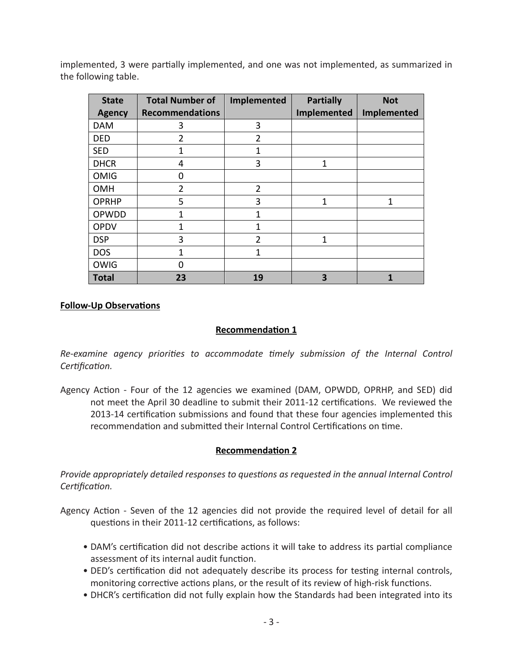implemented, 3 were partially implemented, and one was not implemented, as summarized in the following table.

| <b>State</b>  | <b>Total Number of</b> | Implemented    | <b>Partially</b> | <b>Not</b>  |
|---------------|------------------------|----------------|------------------|-------------|
| <b>Agency</b> | <b>Recommendations</b> |                | Implemented      | Implemented |
| <b>DAM</b>    | 3                      | 3              |                  |             |
| DED           | $\overline{2}$         | 2              |                  |             |
| <b>SED</b>    | 1                      | 1              |                  |             |
| <b>DHCR</b>   | 4                      | 3              | 1                |             |
| <b>OMIG</b>   | 0                      |                |                  |             |
| <b>OMH</b>    | $\overline{2}$         | $\overline{2}$ |                  |             |
| <b>OPRHP</b>  | 5                      | 3              | 1                | 1           |
| OPWDD         | 1                      | $\mathbf{1}$   |                  |             |
| <b>OPDV</b>   | 1                      | $\mathbf{1}$   |                  |             |
| <b>DSP</b>    | 3                      | $\overline{2}$ | 1                |             |
| <b>DOS</b>    | 1                      | 1              |                  |             |
| <b>OWIG</b>   | 0                      |                |                  |             |
| <b>Total</b>  | 23                     | 19             | 3                |             |

#### **Follow-Up Observations**

## **Recommendation 1**

*Re-examine agency priorities to accommodate timely submission of the Internal Control Certification.*

Agency Action - Four of the 12 agencies we examined (DAM, OPWDD, OPRHP, and SED) did not meet the April 30 deadline to submit their 2011-12 certifications. We reviewed the 2013-14 certification submissions and found that these four agencies implemented this recommendation and submitted their Internal Control Certifications on time.

#### **Recommendation 2**

*Provide appropriately detailed responses to questions as requested in the annual Internal Control Certification.*

- Agency Action Seven of the 12 agencies did not provide the required level of detail for all questions in their 2011-12 certifications, as follows:
	- DAM's certification did not describe actions it will take to address its partial compliance assessment of its internal audit function.
	- DED's certification did not adequately describe its process for testing internal controls, monitoring corrective actions plans, or the result of its review of high-risk functions.
	- DHCR's certification did not fully explain how the Standards had been integrated into its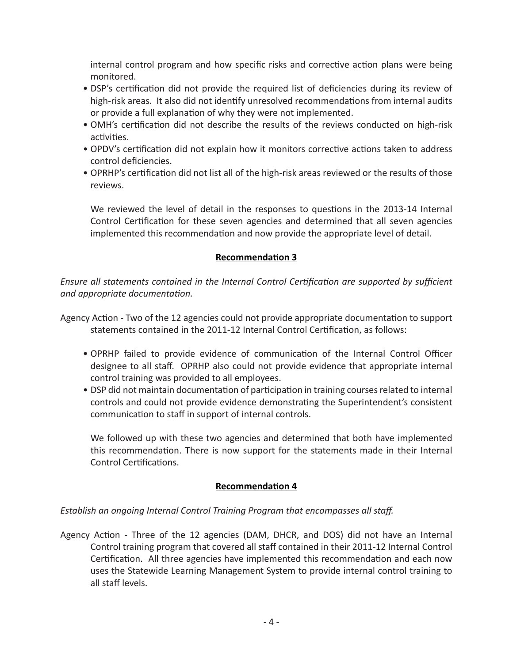internal control program and how specific risks and corrective action plans were being monitored.

- DSP's certification did not provide the required list of deficiencies during its review of high-risk areas. It also did not identify unresolved recommendations from internal audits or provide a full explanation of why they were not implemented.
- OMH's certification did not describe the results of the reviews conducted on high-risk activities.
- OPDV's certification did not explain how it monitors corrective actions taken to address control deficiencies.
- OPRHP's certification did not list all of the high-risk areas reviewed or the results of those reviews.

We reviewed the level of detail in the responses to questions in the 2013-14 Internal Control Certification for these seven agencies and determined that all seven agencies implemented this recommendation and now provide the appropriate level of detail.

# **Recommendation 3**

*Ensure all statements contained in the Internal Control Certification are supported by sufficient and appropriate documentation.*

Agency Action - Two of the 12 agencies could not provide appropriate documentation to support statements contained in the 2011-12 Internal Control Certification, as follows:

- OPRHP failed to provide evidence of communication of the Internal Control Officer designee to all staff. OPRHP also could not provide evidence that appropriate internal control training was provided to all employees.
- DSP did not maintain documentation of participation in training courses related to internal controls and could not provide evidence demonstrating the Superintendent's consistent communication to staff in support of internal controls.

We followed up with these two agencies and determined that both have implemented this recommendation. There is now support for the statements made in their Internal Control Certifications.

## **Recommendation 4**

*Establish an ongoing Internal Control Training Program that encompasses all staff.*

Agency Action - Three of the 12 agencies (DAM, DHCR, and DOS) did not have an Internal Control training program that covered all staff contained in their 2011-12 Internal Control Certification. All three agencies have implemented this recommendation and each now uses the Statewide Learning Management System to provide internal control training to all staff levels.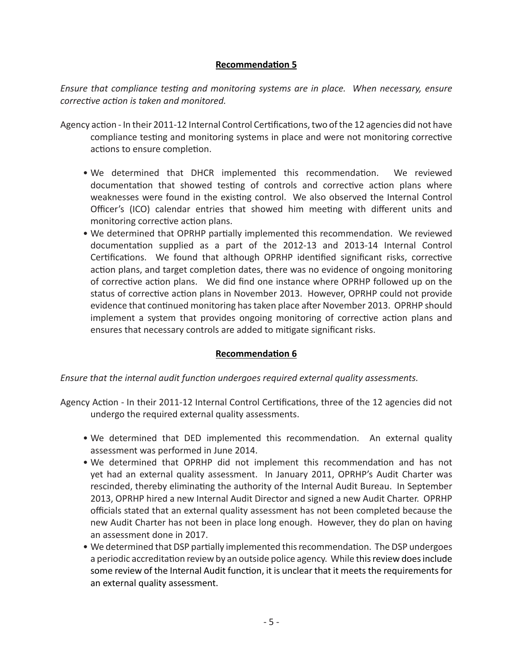## **Recommendation 5**

*Ensure that compliance testing and monitoring systems are in place. When necessary, ensure corrective action is taken and monitored.*

- Agency action In their 2011-12 Internal Control Certifications, two of the 12 agencies did not have compliance testing and monitoring systems in place and were not monitoring corrective actions to ensure completion.
	- We determined that DHCR implemented this recommendation. We reviewed documentation that showed testing of controls and corrective action plans where weaknesses were found in the existing control. We also observed the Internal Control Officer's (ICO) calendar entries that showed him meeting with different units and monitoring corrective action plans.
	- We determined that OPRHP partially implemented this recommendation. We reviewed documentation supplied as a part of the 2012-13 and 2013-14 Internal Control Certifications. We found that although OPRHP identified significant risks, corrective action plans, and target completion dates, there was no evidence of ongoing monitoring of corrective action plans. We did find one instance where OPRHP followed up on the status of corrective action plans in November 2013. However, OPRHP could not provide evidence that continued monitoring has taken place after November 2013. OPRHP should implement a system that provides ongoing monitoring of corrective action plans and ensures that necessary controls are added to mitigate significant risks.

## **Recommendation 6**

*Ensure that the internal audit function undergoes required external quality assessments.*

- Agency Action In their 2011-12 Internal Control Certifications, three of the 12 agencies did not undergo the required external quality assessments.
	- We determined that DED implemented this recommendation. An external quality assessment was performed in June 2014.
	- We determined that OPRHP did not implement this recommendation and has not yet had an external quality assessment. In January 2011, OPRHP's Audit Charter was rescinded, thereby eliminating the authority of the Internal Audit Bureau. In September 2013, OPRHP hired a new Internal Audit Director and signed a new Audit Charter. OPRHP officials stated that an external quality assessment has not been completed because the new Audit Charter has not been in place long enough. However, they do plan on having an assessment done in 2017.
	- We determined that DSP partially implemented this recommendation. The DSP undergoes a periodic accreditation review by an outside police agency. While this review does include some review of the Internal Audit function, it is unclear that it meets the requirements for an external quality assessment.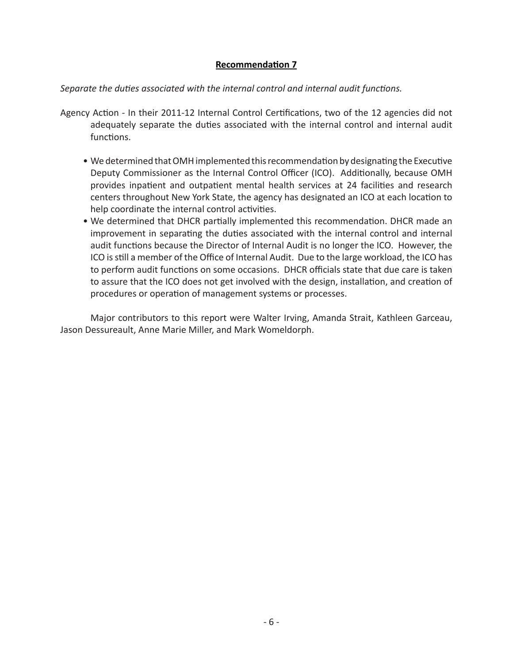### **Recommendation 7**

*Separate the duties associated with the internal control and internal audit functions.*

- Agency Action In their 2011-12 Internal Control Certifications, two of the 12 agencies did not adequately separate the duties associated with the internal control and internal audit functions.
	- We determined that OMH implemented this recommendation by designating the Executive Deputy Commissioner as the Internal Control Officer (ICO). Additionally, because OMH provides inpatient and outpatient mental health services at 24 facilities and research centers throughout New York State, the agency has designated an ICO at each location to help coordinate the internal control activities.
	- We determined that DHCR partially implemented this recommendation. DHCR made an improvement in separating the duties associated with the internal control and internal audit functions because the Director of Internal Audit is no longer the ICO. However, the ICO is still a member of the Office of Internal Audit. Due to the large workload, the ICO has to perform audit functions on some occasions. DHCR officials state that due care is taken to assure that the ICO does not get involved with the design, installation, and creation of procedures or operation of management systems or processes.

Major contributors to this report were Walter Irving, Amanda Strait, Kathleen Garceau, Jason Dessureault, Anne Marie Miller, and Mark Womeldorph.